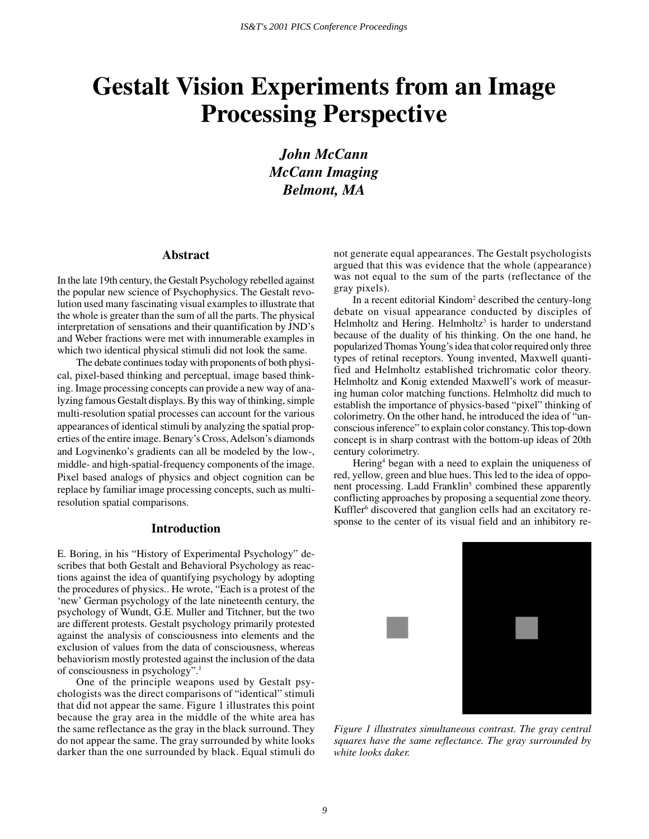# **Gestalt Vision Experiments from an Image Processing Perspective**

*John McCann McCann Imaging Belmont, MA*

#### **Abstract**

In the late 19th century, the Gestalt Psychology rebelled against the popular new science of Psychophysics. The Gestalt revolution used many fascinating visual examples to illustrate that the whole is greater than the sum of all the parts. The physical interpretation of sensations and their quantification by JND's and Weber fractions were met with innumerable examples in which two identical physical stimuli did not look the same.

The debate continues today with proponents of both physical, pixel-based thinking and perceptual, image based thinking. Image processing concepts can provide a new way of analyzing famous Gestalt displays. By this way of thinking, simple multi-resolution spatial processes can account for the various appearances of identical stimuli by analyzing the spatial properties of the entire image. Benary's Cross, Adelson's diamonds and Logvinenko's gradients can all be modeled by the low-, middle- and high-spatial-frequency components of the image. Pixel based analogs of physics and object cognition can be replace by familiar image processing concepts, such as multiresolution spatial comparisons.

# **Introduction**

E. Boring, in his "History of Experimental Psychology" describes that both Gestalt and Behavioral Psychology as reactions against the idea of quantifying psychology by adopting the procedures of physics.. He wrote, "Each is a protest of the 'new' German psychology of the late nineteenth century, the psychology of Wundt, G.E. Muller and Titchner, but the two are different protests. Gestalt psychology primarily protested against the analysis of consciousness into elements and the exclusion of values from the data of consciousness, whereas behaviorism mostly protested against the inclusion of the data of consciousness in psychology".1

One of the principle weapons used by Gestalt psychologists was the direct comparisons of "identical" stimuli that did not appear the same. Figure 1 illustrates this point because the gray area in the middle of the white area has the same reflectance as the gray in the black surround. They do not appear the same. The gray surrounded by white looks darker than the one surrounded by black. Equal stimuli do not generate equal appearances. The Gestalt psychologists argued that this was evidence that the whole (appearance) was not equal to the sum of the parts (reflectance of the gray pixels).

In a recent editorial Kindom<sup>2</sup> described the century-long debate on visual appearance conducted by disciples of Helmholtz and Hering. Helmholtz<sup>3</sup> is harder to understand because of the duality of his thinking. On the one hand, he popularized Thomas Young's idea that color required only three types of retinal receptors. Young invented, Maxwell quantified and Helmholtz established trichromatic color theory. Helmholtz and Konig extended Maxwell's work of measuring human color matching functions. Helmholtz did much to establish the importance of physics-based "pixel" thinking of colorimetry. On the other hand, he introduced the idea of "unconscious inference" to explain color constancy. This top-down concept is in sharp contrast with the bottom-up ideas of 20th century colorimetry.

Hering<sup>4</sup> began with a need to explain the uniqueness of red, yellow, green and blue hues. This led to the idea of opponent processing. Ladd Franklin<sup>5</sup> combined these apparently conflicting approaches by proposing a sequential zone theory. Kuffler<sup>6</sup> discovered that ganglion cells had an excitatory response to the center of its visual field and an inhibitory re-



*Figure 1 illustrates simultaneous contrast. The gray central squares have the same reflectance. The gray surrounded by white looks daker.*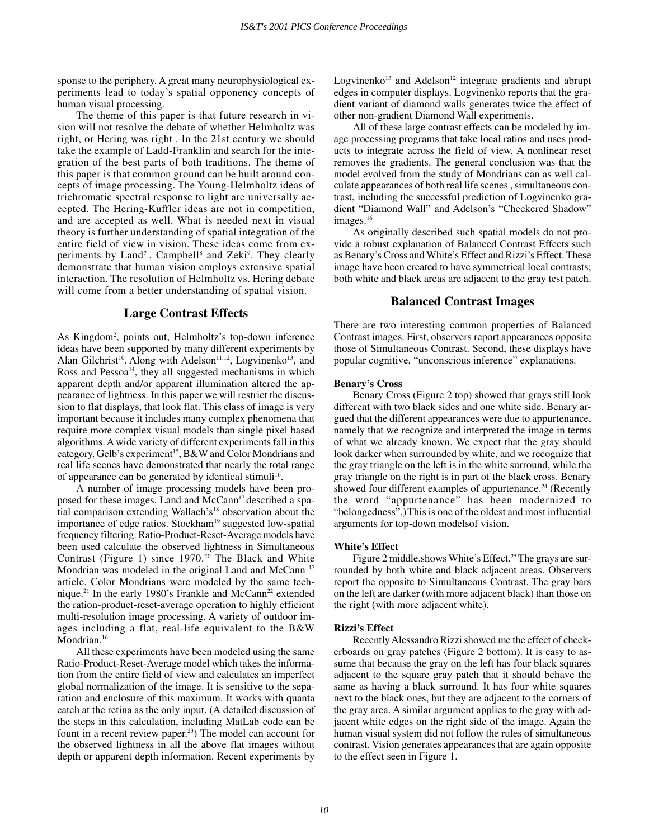sponse to the periphery. A great many neurophysiological experiments lead to today's spatial opponency concepts of human visual processing.

The theme of this paper is that future research in vision will not resolve the debate of whether Helmholtz was right, or Hering was right . In the 21st century we should take the example of Ladd-Franklin and search for the integration of the best parts of both traditions. The theme of this paper is that common ground can be built around concepts of image processing. The Young-Helmholtz ideas of trichromatic spectral response to light are universally accepted. The Hering-Kuffler ideas are not in competition, and are accepted as well. What is needed next in visual theory is further understanding of spatial integration of the entire field of view in vision. These ideas come from experiments by Land<sup>7</sup>, Campbell<sup>8</sup> and Zeki<sup>9</sup>. They clearly demonstrate that human vision employs extensive spatial interaction. The resolution of Helmholtz vs. Hering debate will come from a better understanding of spatial vision.

# **Large Contrast Effects**

As Kingdom2 , points out, Helmholtz's top-down inference ideas have been supported by many different experiments by Alan Gilchrist<sup>10</sup>. Along with Adelson<sup>11,12</sup>, Logvinenko<sup>13</sup>, and Ross and Pessoa<sup>14</sup>, they all suggested mechanisms in which apparent depth and/or apparent illumination altered the appearance of lightness. In this paper we will restrict the discussion to flat displays, that look flat. This class of image is very important because it includes many complex phenomena that require more complex visual models than single pixel based algorithms. A wide variety of different experiments fall in this category. Gelb's experiment<sup>15</sup>, B&W and Color Mondrians and real life scenes have demonstrated that nearly the total range of appearance can be generated by identical stimuli<sup>16</sup>.

A number of image processing models have been proposed for these images. Land and McCann<sup>17</sup> described a spatial comparison extending Wallach's<sup>18</sup> observation about the importance of edge ratios. Stockham<sup>19</sup> suggested low-spatial frequency filtering. Ratio-Product-Reset-Average models have been used calculate the observed lightness in Simultaneous Contrast (Figure 1) since  $1970.^{20}$  The Black and White Mondrian was modeled in the original Land and McCann<sup>17</sup> article. Color Mondrians were modeled by the same technique.<sup>21</sup> In the early 1980's Frankle and McCann<sup>22</sup> extended the ration-product-reset-average operation to highly efficient multi-resolution image processing. A variety of outdoor images including a flat, real-life equivalent to the B&W Mondrian.<sup>16</sup>

All these experiments have been modeled using the same Ratio-Product-Reset-Average model which takes the information from the entire field of view and calculates an imperfect global normalization of the image. It is sensitive to the separation and enclosure of this maximum. It works with quanta catch at the retina as the only input. (A detailed discussion of the steps in this calculation, including MatLab code can be fount in a recent review paper.<sup>23</sup>) The model can account for the observed lightness in all the above flat images without depth or apparent depth information. Recent experiments by

Logvinenko<sup>13</sup> and Adelson<sup>12</sup> integrate gradients and abrupt edges in computer displays. Logvinenko reports that the gradient variant of diamond walls generates twice the effect of other non-gradient Diamond Wall experiments.

All of these large contrast effects can be modeled by image processing programs that take local ratios and uses products to integrate across the field of view. A nonlinear reset removes the gradients. The general conclusion was that the model evolved from the study of Mondrians can as well calculate appearances of both real life scenes , simultaneous contrast, including the successful prediction of Logvinenko gradient "Diamond Wall" and Adelson's "Checkered Shadow" images.<sup>16</sup>

As originally described such spatial models do not provide a robust explanation of Balanced Contrast Effects such as Benary's Cross and White's Effect and Rizzi's Effect. These image have been created to have symmetrical local contrasts; both white and black areas are adjacent to the gray test patch.

# **Balanced Contrast Images**

There are two interesting common properties of Balanced Contrast images. First, observers report appearances opposite those of Simultaneous Contrast. Second, these displays have popular cognitive, "unconscious inference" explanations.

#### **Benary's Cross**

Benary Cross (Figure 2 top) showed that grays still look different with two black sides and one white side. Benary argued that the different appearances were due to appurtenance, namely that we recognize and interpreted the image in terms of what we already known. We expect that the gray should look darker when surrounded by white, and we recognize that the gray triangle on the left is in the white surround, while the gray triangle on the right is in part of the black cross. Benary showed four different examples of appurtenance.<sup>24</sup> (Recently the word "appurtenance" has been modernized to "belongedness".)This is one of the oldest and most influential arguments for top-down modelsof vision.

#### **White's Effect**

Figure 2 middle.shows White's Effect.<sup>25</sup> The grays are surrounded by both white and black adjacent areas. Observers report the opposite to Simultaneous Contrast. The gray bars on the left are darker (with more adjacent black) than those on the right (with more adjacent white).

#### **Rizzi's Effect**

Recently Alessandro Rizzi showed me the effect of checkerboards on gray patches (Figure 2 bottom). It is easy to assume that because the gray on the left has four black squares adjacent to the square gray patch that it should behave the same as having a black surround. It has four white squares next to the black ones, but they are adjacent to the corners of the gray area. A similar argument applies to the gray with adjacent white edges on the right side of the image. Again the human visual system did not follow the rules of simultaneous contrast. Vision generates appearances that are again opposite to the effect seen in Figure 1.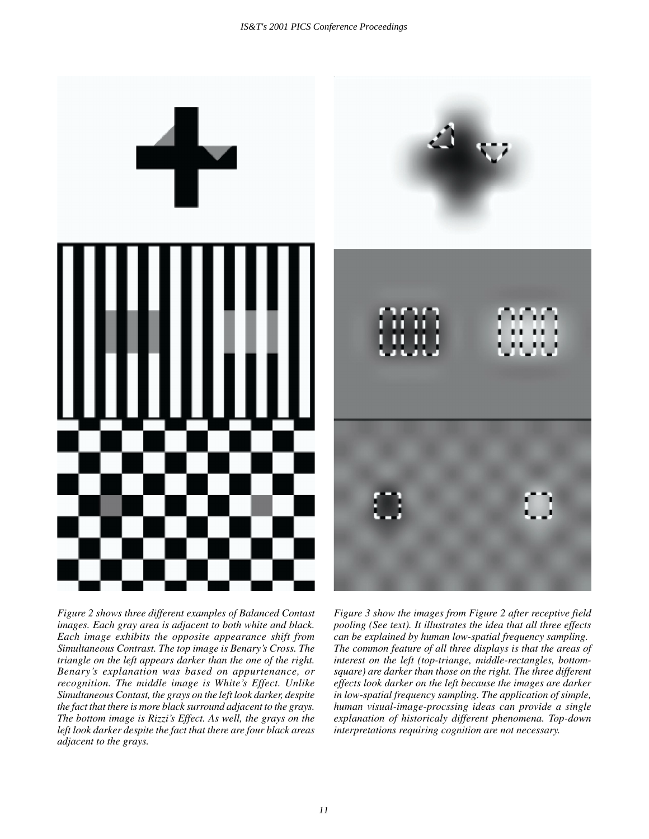

*Figure 2 shows three different examples of Balanced Contast images. Each gray area is adjacent to both white and black. Each image exhibits the opposite appearance shift from Simultaneous Contrast. The top image is Benary's Cross. The triangle on the left appears darker than the one of the right. Benary's explanation was based on appurtenance, or recognition. The middle image is White's Effect. Unlike Simultaneous Contast, the grays on the left look darker, despite the fact that there is more black surround adjacent to the grays. The bottom image is Rizzi's Effect. As well, the grays on the left look darker despite the fact that there are four black areas adjacent to the grays.*

*Figure 3 show the images from Figure 2 after receptive field pooling (See text). It illustrates the idea that all three effects can be explained by human low-spatial frequency sampling. The common feature of all three displays is that the areas of interest on the left (top-triange, middle-rectangles, bottomsquare) are darker than those on the right. The three different effects look darker on the left because the images are darker in low-spatial frequency sampling. The application of simple, human visual-image-procssing ideas can provide a single explanation of historicaly different phenomena. Top-down interpretations requiring cognition are not necessary.*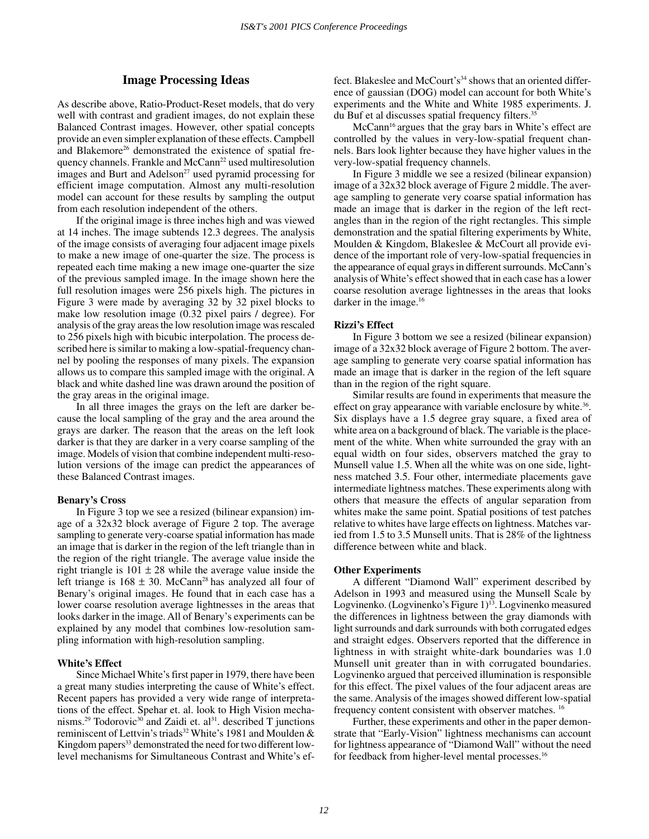# **Image Processing Ideas**

As describe above, Ratio-Product-Reset models, that do very well with contrast and gradient images, do not explain these Balanced Contrast images. However, other spatial concepts provide an even simpler explanation of these effects. Campbell and Blakemore<sup>26</sup> demonstrated the existence of spatial frequency channels. Frankle and McCann<sup>22</sup> used multiresolution images and Burt and Adelson<sup>27</sup> used pyramid processing for efficient image computation. Almost any multi-resolution model can account for these results by sampling the output from each resolution independent of the others.

If the original image is three inches high and was viewed at 14 inches. The image subtends 12.3 degrees. The analysis of the image consists of averaging four adjacent image pixels to make a new image of one-quarter the size. The process is repeated each time making a new image one-quarter the size of the previous sampled image. In the image shown here the full resolution images were 256 pixels high. The pictures in Figure 3 were made by averaging 32 by 32 pixel blocks to make low resolution image (0.32 pixel pairs / degree). For analysis of the gray areas the low resolution image was rescaled to 256 pixels high with bicubic interpolation. The process described here is similar to making a low-spatial-frequency channel by pooling the responses of many pixels. The expansion allows us to compare this sampled image with the original. A black and white dashed line was drawn around the position of the gray areas in the original image.

In all three images the grays on the left are darker because the local sampling of the gray and the area around the grays are darker. The reason that the areas on the left look darker is that they are darker in a very coarse sampling of the image. Models of vision that combine independent multi-resolution versions of the image can predict the appearances of these Balanced Contrast images.

#### **Benary's Cross**

In Figure 3 top we see a resized (bilinear expansion) image of a 32x32 block average of Figure 2 top. The average sampling to generate very-coarse spatial information has made an image that is darker in the region of the left triangle than in the region of the right triangle. The average value inside the right triangle is  $101 \pm 28$  while the average value inside the left triange is  $168 \pm 30$ . McCann<sup>28</sup> has analyzed all four of Benary's original images. He found that in each case has a lower coarse resolution average lightnesses in the areas that looks darker in the image. All of Benary's experiments can be explained by any model that combines low-resolution sampling information with high-resolution sampling.

#### **White's Effect**

Since Michael White's first paper in 1979, there have been a great many studies interpreting the cause of White's effect. Recent papers has provided a very wide range of interpretations of the effect. Spehar et. al. look to High Vision mechanisms.<sup>29</sup> Todorovic<sup>30</sup> and Zaidi et. al<sup>31</sup>. described T junctions reminiscent of Lettvin's triads<sup>32</sup> White's 1981 and Moulden & Kingdom papers<sup>33</sup> demonstrated the need for two different lowlevel mechanisms for Simultaneous Contrast and White's effect. Blakeslee and McCourt's<sup>34</sup> shows that an oriented difference of gaussian (DOG) model can account for both White's experiments and the White and White 1985 experiments. J. du Buf et al discusses spatial frequency filters.<sup>35</sup>

McCann<sup>16</sup> argues that the gray bars in White's effect are controlled by the values in very-low-spatial frequent channels. Bars look lighter because they have higher values in the very-low-spatial frequency channels.

In Figure 3 middle we see a resized (bilinear expansion) image of a 32x32 block average of Figure 2 middle. The average sampling to generate very coarse spatial information has made an image that is darker in the region of the left rectangles than in the region of the right rectangles. This simple demonstration and the spatial filtering experiments by White, Moulden & Kingdom, Blakeslee & McCourt all provide evidence of the important role of very-low-spatial frequencies in the appearance of equal grays in different surrounds. McCann's analysis of White's effect showed that in each case has a lower coarse resolution average lightnesses in the areas that looks darker in the image.<sup>16</sup>

# **Rizzi's Effect**

In Figure 3 bottom we see a resized (bilinear expansion) image of a 32x32 block average of Figure 2 bottom. The average sampling to generate very coarse spatial information has made an image that is darker in the region of the left square than in the region of the right square.

Similar results are found in experiments that measure the effect on gray appearance with variable enclosure by white.<sup>36</sup>. Six displays have a 1.5 degree gray square, a fixed area of white area on a background of black. The variable is the placement of the white. When white surrounded the gray with an equal width on four sides, observers matched the gray to Munsell value 1.5. When all the white was on one side, lightness matched 3.5. Four other, intermediate placements gave intermediate lightness matches. These experiments along with others that measure the effects of angular separation from whites make the same point. Spatial positions of test patches relative to whites have large effects on lightness. Matches varied from 1.5 to 3.5 Munsell units. That is 28% of the lightness difference between white and black.

#### **Other Experiments**

A different "Diamond Wall" experiment described by Adelson in 1993 and measured using the Munsell Scale by Logvinenko. (Logvinenko's Figure 1)<sup>13</sup>. Logvinenko measured the differences in lightness between the gray diamonds with light surrounds and dark surrounds with both corrugated edges and straight edges. Observers reported that the difference in lightness in with straight white-dark boundaries was 1.0 Munsell unit greater than in with corrugated boundaries. Logvinenko argued that perceived illumination is responsible for this effect. The pixel values of the four adjacent areas are the same. Analysis of the images showed different low-spatial frequency content consistent with observer matches. 16

Further, these experiments and other in the paper demonstrate that "Early-Vision" lightness mechanisms can account for lightness appearance of "Diamond Wall" without the need for feedback from higher-level mental processes.<sup>16</sup>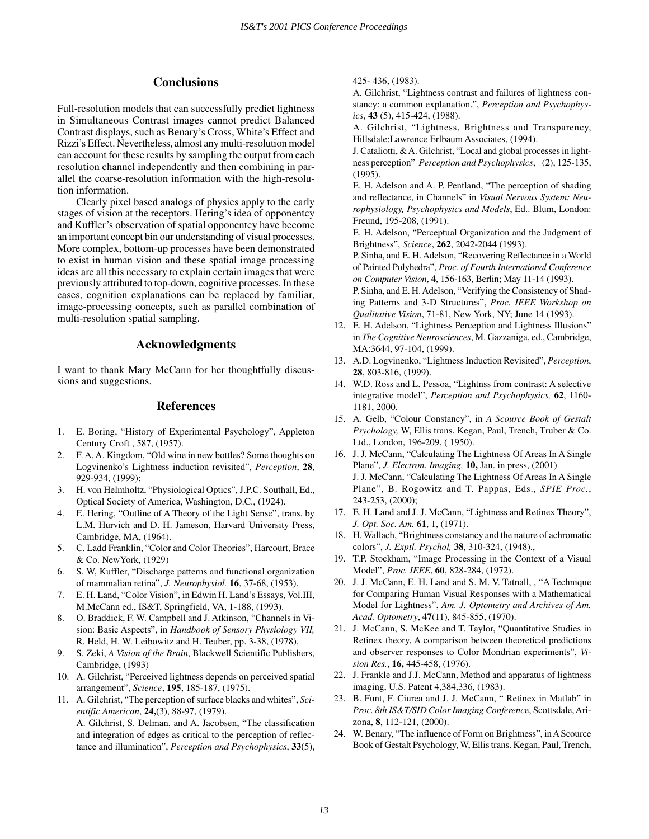# **Conclusions**

Full-resolution models that can successfully predict lightness in Simultaneous Contrast images cannot predict Balanced Contrast displays, such as Benary's Cross, White's Effect and Rizzi's Effect. Nevertheless, almost any multi-resolution model can account for these results by sampling the output from each resolution channel independently and then combining in parallel the coarse-resolution information with the high-resolution information.

Clearly pixel based analogs of physics apply to the early stages of vision at the receptors. Hering's idea of opponentcy and Kuffler's observation of spatial opponentcy have become an important concept bin our understanding of visual processes. More complex, bottom-up processes have been demonstrated to exist in human vision and these spatial image processing ideas are all this necessary to explain certain images that were previously attributed to top-down, cognitive processes. In these cases, cognition explanations can be replaced by familiar, image-processing concepts, such as parallel combination of multi-resolution spatial sampling.

# **Acknowledgments**

I want to thank Mary McCann for her thoughtfully discussions and suggestions.

# **References**

- 1. E. Boring, "History of Experimental Psychology", Appleton Century Croft , 587, (1957).
- 2. F. A. A. Kingdom, "Old wine in new bottles? Some thoughts on Logvinenko's Lightness induction revisited", *Perception*, **28**, 929-934, (1999);
- 3. H. von Helmholtz, "Physiological Optics", J.P.C. Southall, Ed., Optical Society of America, Washington, D.C., (1924).
- 4. E. Hering, "Outline of A Theory of the Light Sense", trans. by L.M. Hurvich and D. H. Jameson, Harvard University Press, Cambridge, MA, (1964).
- 5. C. Ladd Franklin, "Color and Color Theories", Harcourt, Brace & Co. NewYork, (1929)
- 6. S. W, Kuffler, "Discharge patterns and functional organization of mammalian retina", *J. Neurophysiol.* **16**, 37-68, (1953).
- 7. E. H. Land, "Color Vision", in Edwin H. Land's Essays, Vol.III, M.McCann ed., IS&T, Springfield, VA, 1-188, (1993).
- 8. O. Braddick, F. W. Campbell and J. Atkinson, "Channels in Vision: Basic Aspects", in *Handbook of Sensory Physiology VII,* R. Held, H. W. Leibowitz and H. Teuber, pp. 3-38, (1978).
- 9. S. Zeki, *A Vision of the Brain*, Blackwell Scientific Publishers, Cambridge, (1993)
- 10. A. Gilchrist, "Perceived lightness depends on perceived spatial arrangement", *Science*, **195**, 185-187, (1975).
- 11. A. Gilchrist, "The perception of surface blacks and whites", *Scientific American*, **24,**(3), 88-97, (1979). A. Gilchrist, S. Delman, and A. Jacobsen, "The classification

and integration of edges as critical to the perception of reflectance and illumination", *Perception and Psychophysics*, **33**(5), 425- 436, (1983).

A. Gilchrist, "Lightness contrast and failures of lightness constancy: a common explanation.", *Perception and Psychophysics*, **43** (5), 415-424, (1988).

A. Gilchrist, "Lightness, Brightness and Transparency, Hillsdale:Lawrence Erlbaum Associates, (1994).

J. Cataliotti, & A. Gilchrist, "Local and global processes in lightness perception" *Perception and Psychophysics*, (2), 125-135, (1995).

E. H. Adelson and A. P. Pentland, "The perception of shading and reflectance, in Channels" in *Visual Nervous System: Neurophysiology, Psychophysics and Models*, Ed.. Blum, London: Freund, 195-208, (1991).

E. H. Adelson, "Perceptual Organization and the Judgment of Brightness", *Science*, **262**, 2042-2044 (1993).

P. Sinha, and E. H. Adelson, "Recovering Reflectance in a World of Painted Polyhedra", *Proc. of Fourth International Conference on Computer Vision*, **4**, 156-163, Berlin; May 11-14 (1993).

P. Sinha, and E. H. Adelson, "Verifying the Consistency of Shading Patterns and 3-D Structures", *Proc. IEEE Workshop on Qualitative Vision*, 71-81, New York, NY; June 14 (1993).

- 12. E. H. Adelson, "Lightness Perception and Lightness Illusions" in *The Cognitive Neurosciences*, M. Gazzaniga, ed., Cambridge, MA:3644, 97-104, (1999).
- 13. A.D. Logvinenko, "Lightness Induction Revisited", *Perception*, **28**, 803-816, (1999).
- 14. W.D. Ross and L. Pessoa, "Lightnss from contrast: A selective integrative model", *Perception and Psychophysics,* **62**, 1160- 1181, 2000.
- 15. A. Gelb, "Colour Constancy", in *A Scource Book of Gestalt Psychology,* W, Ellis trans. Kegan, Paul, Trench, Truber & Co. Ltd., London, 196-209, ( 1950).
- 16. J. J. McCann, "Calculating The Lightness Of Areas In A Single Plane", *J. Electron. Imaging,* **10,** Jan. in press, (2001) J. J. McCann, "Calculating The Lightness Of Areas In A Single Plane", B. Rogowitz and T. Pappas, Eds., *SPIE Proc.*, 243-253, (2000);
- 17. E. H. Land and J. J. McCann, "Lightness and Retinex Theory", *J. Opt. Soc. Am.* **61**, 1, (1971).
- 18. H. Wallach, "Brightness constancy and the nature of achromatic colors", *J. Exptl. Psychol,* **38**, 310-324, (1948).,
- 19. T.P. Stockham, "Image Processing in the Context of a Visual Model", *Proc. IEEE*, **60**, 828-284, (1972).
- 20. J. J. McCann, E. H. Land and S. M. V. Tatnall, , "A Technique for Comparing Human Visual Responses with a Mathematical Model for Lightness", *Am. J. Optometry and Archives of Am. Acad. Optometry*, **47**(11), 845-855, (1970).
- 21. J. McCann, S. McKee and T. Taylor, "Quantitative Studies in Retinex theory, A comparison between theoretical predictions and observer responses to Color Mondrian experiments", *Vision Res.*, **16,** 445-458, (1976).
- 22. J. Frankle and J.J. McCann, Method and apparatus of lightness imaging, U.S. Patent 4,384,336, (1983).
- 23. B. Funt, F. Ciurea and J. J. McCann, " Retinex in Matlab" in *Proc. 8th IS&T/SID Color Imaging Conferenc*e, Scottsdale, Arizona, **8**, 112-121, (2000).
- 24. W. Benary, "The influence of Form on Brightness", in A Scource Book of Gestalt Psychology, W, Ellis trans. Kegan, Paul, Trench,